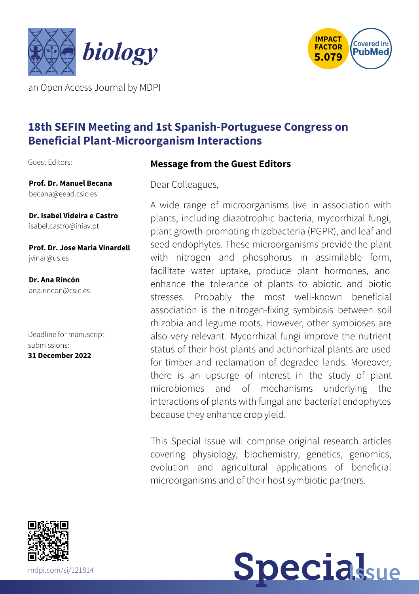



an Open Access Journal by MDPI

# **18th SEFIN Meeting and 1st Spanish-Portuguese Congress on Beneficial Plant-Microorganism Interactions**

Guest Editors:

**Prof. Dr. Manuel Becana** [becana@eead.csic.es](mailto:becana@eead.csic.es)

**Dr. Isabel Videira e Castro** [isabel.castro@iniav.pt](mailto:isabel.castro@iniav.pt)

**Prof. Dr. Jose Maria Vinardell** [jvinar@us.es](mailto:jvinar@us.es)

**Dr. Ana Rincón** [ana.rincon@csic.es](mailto:ana.rincon@csic.es)

Deadline for manuscript submissions: **31 December 2022**



Dear Colleagues,

A wide range of microorganisms live in association with plants, including diazotrophic bacteria, mycorrhizal fungi, plant growth-promoting rhizobacteria (PGPR), and leaf and seed endophytes. These microorganisms provide the plant with nitrogen and phosphorus in assimilable form, facilitate water uptake, produce plant hormones, and enhance the tolerance of plants to abiotic and biotic stresses. Probably the most well-known beneficial association is the nitrogen-fixing symbiosis between soil rhizobia and legume roots. However, other symbioses are also very relevant. Mycorrhizal fungi improve the nutrient status of their host plants and actinorhizal plants are used for timber and reclamation of degraded lands. Moreover, there is an upsurge of interest in the study of plant microbiomes and of mechanisms underlying the interactions of plants with fungal and bacterial endophytes because they enhance crop yield.

This Special Issue will comprise original research articles covering physiology, biochemistry, genetics, genomics, evolution and agricultural applications of beneficial microorganisms and of their host symbiotic partners.



**Specialsue**